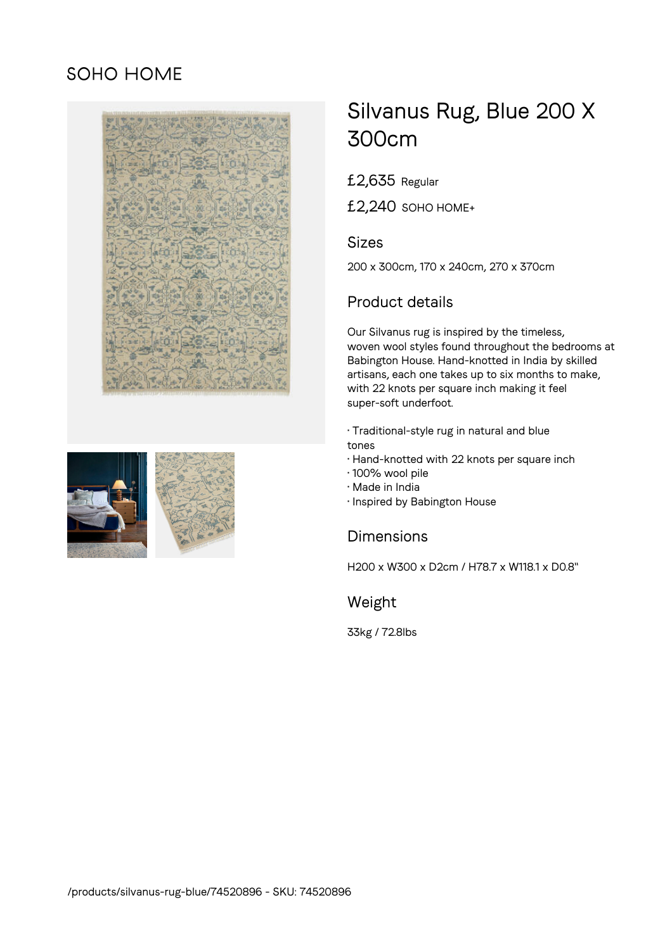## SOHO HOME



# Silvanus Rug, Blue 200 X 300cm

£2,635 Regular

£2,240 SOHO HOME+

#### Sizes

200 x 300cm, 170 x 240cm, 270 x 370cm

### Product details

Our Silvanus rug is inspired by the timeless, woven wool styles found throughout the bedrooms at Babington House. Hand-knotted in India by skilled artisans, each one takes up to six months to make, with 22 knots per square inch making it feel super-soft underfoot.

- Traditional-style rug in natural and blue tones
- Hand-knotted with 22 knots per square inch
- 100% wool pile
- Made in India
- Inspired by Babington House

#### **Dimensions**

H200 x W300 x D2cm / H78.7 x W118.1 x D0.8"

Weight

33kg / 72.8lbs